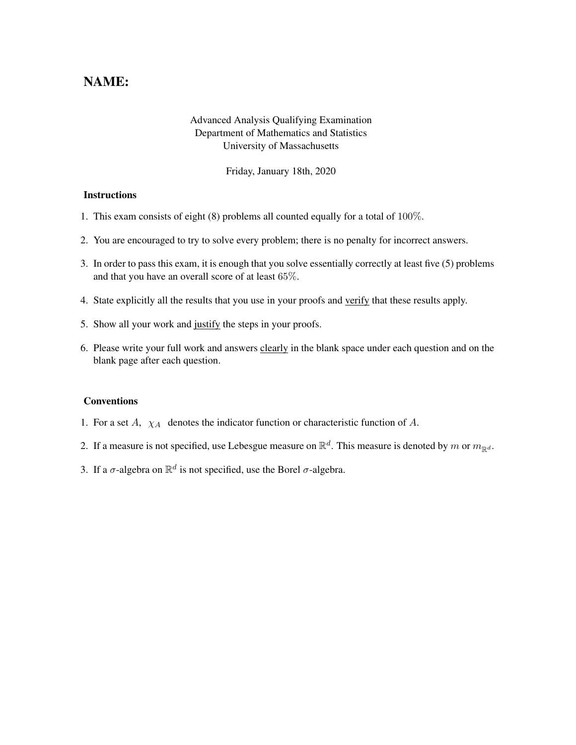## NAME:

## Advanced Analysis Qualifying Examination Department of Mathematics and Statistics University of Massachusetts

Friday, January 18th, 2020

## **Instructions**

- 1. This exam consists of eight (8) problems all counted equally for a total of 100%.
- 2. You are encouraged to try to solve every problem; there is no penalty for incorrect answers.
- 3. In order to pass this exam, it is enough that you solve essentially correctly at least five (5) problems and that you have an overall score of at least 65%.
- 4. State explicitly all the results that you use in your proofs and verify that these results apply.
- 5. Show all your work and justify the steps in your proofs.
- 6. Please write your full work and answers clearly in the blank space under each question and on the blank page after each question.

## **Conventions**

- 1. For a set  $A$ ,  $\chi_A$  denotes the indicator function or characteristic function of  $A$ .
- 2. If a measure is not specified, use Lebesgue measure on  $\mathbb{R}^d$ . This measure is denoted by m or  $m_{\mathbb{R}^d}$ .
- 3. If a  $\sigma$ -algebra on  $\mathbb{R}^d$  is not specified, use the Borel  $\sigma$ -algebra.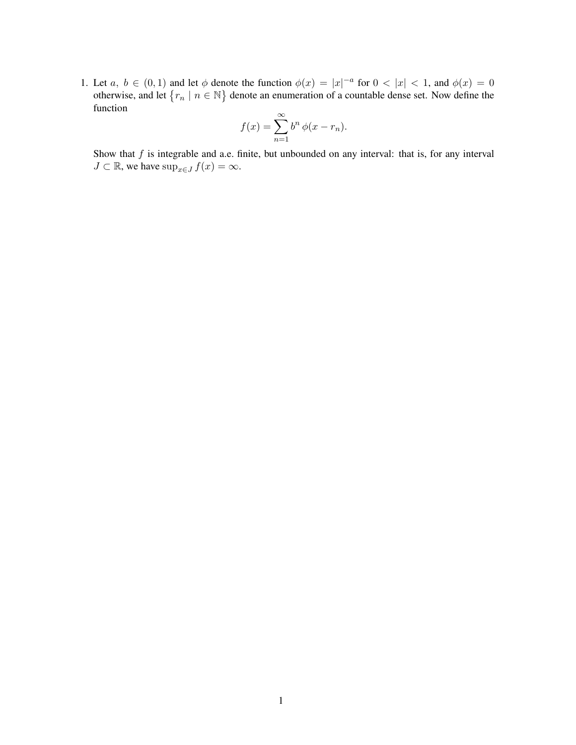1. Let  $a, b \in (0,1)$  and let  $\phi$  denote the function  $\phi(x) = |x|^{-a}$  for  $0 < |x| < 1$ , and  $\phi(x) = 0$ otherwise, and let  $\{r_n \mid n \in \mathbb{N}\}\$  denote an enumeration of a countable dense set. Now define the function

$$
f(x) = \sum_{n=1}^{\infty} b^n \phi(x - r_n).
$$

Show that  $f$  is integrable and a.e. finite, but unbounded on any interval: that is, for any interval  $J \subset \mathbb{R}$ , we have  $\sup_{x \in J} f(x) = \infty$ .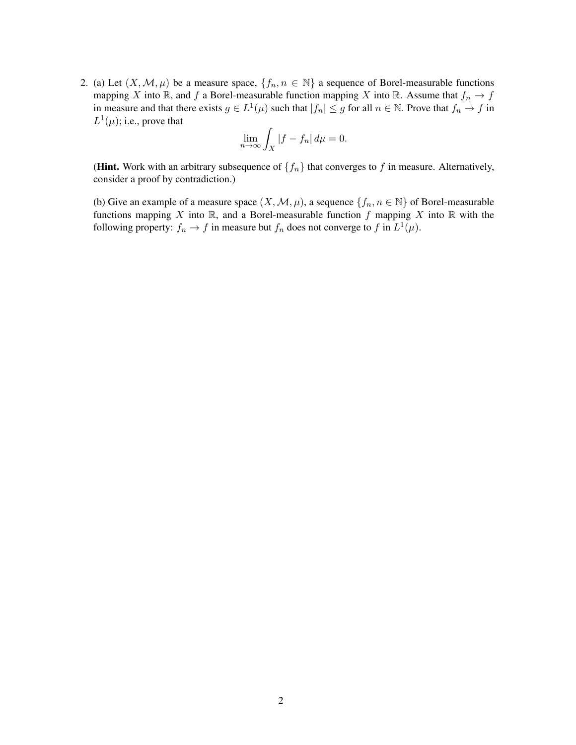2. (a) Let  $(X, \mathcal{M}, \mu)$  be a measure space,  $\{f_n, n \in \mathbb{N}\}\$ a sequence of Borel-measurable functions mapping X into R, and f a Borel-measurable function mapping X into R. Assume that  $f_n \to f$ in measure and that there exists  $g \in L^1(\mu)$  such that  $|f_n| \leq g$  for all  $n \in \mathbb{N}$ . Prove that  $f_n \to f$  in  $L^1(\mu)$ ; i.e., prove that

$$
\lim_{n \to \infty} \int_X |f - f_n| \, d\mu = 0.
$$

(Hint. Work with an arbitrary subsequence of  $\{f_n\}$  that converges to f in measure. Alternatively, consider a proof by contradiction.)

(b) Give an example of a measure space  $(X, \mathcal{M}, \mu)$ , a sequence  $\{f_n, n \in \mathbb{N}\}\$  of Borel-measurable functions mapping X into  $\mathbb R$ , and a Borel-measurable function f mapping X into  $\mathbb R$  with the following property:  $f_n \to f$  in measure but  $f_n$  does not converge to f in  $L^1(\mu)$ .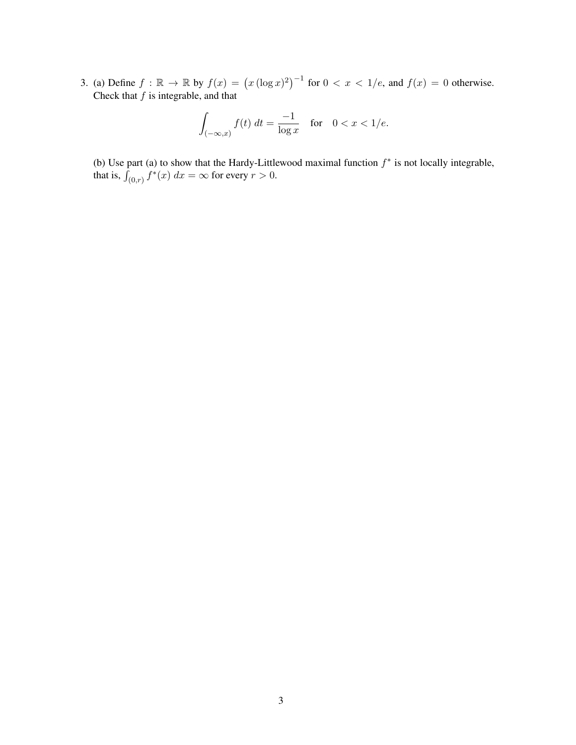3. (a) Define  $f : \mathbb{R} \to \mathbb{R}$  by  $f(x) = (x (\log x)^2)^{-1}$  for  $0 < x < 1/e$ , and  $f(x) = 0$  otherwise. Check that  $f$  is integrable, and that

$$
\int_{(-\infty,x)} f(t) dt = \frac{-1}{\log x} \quad \text{for} \quad 0 < x < 1/e.
$$

(b) Use part (a) to show that the Hardy-Littlewood maximal function  $f^*$  is not locally integrable, that is,  $\int_{(0,r)} f^*(x) dx = \infty$  for every  $r > 0$ .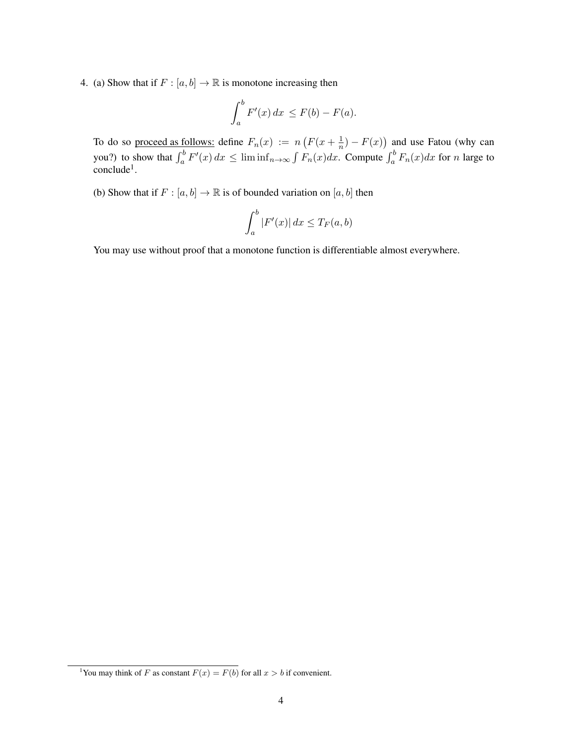4. (a) Show that if  $F : [a, b] \to \mathbb{R}$  is monotone increasing then

$$
\int_a^b F'(x) \, dx \le F(b) - F(a).
$$

To do so proceed as follows: define  $F_n(x) := n \left( F(x + \frac{1}{n}) \right)$  $(\frac{1}{n}) - F(x)$  and use Fatou (why can you?) to show that  $\int_a^b F'(x) dx \le \liminf_{n \to \infty} \int F_n(x) dx$ . Compute  $\int_a^b F_n(x) dx$  for n large to conclude<sup>1</sup>.

(b) Show that if  $F : [a, b] \to \mathbb{R}$  is of bounded variation on  $[a, b]$  then

$$
\int_a^b |F'(x)| dx \le T_F(a, b)
$$

You may use without proof that a monotone function is differentiable almost everywhere.

<sup>&</sup>lt;sup>1</sup>You may think of F as constant  $F(x) = F(b)$  for all  $x > b$  if convenient.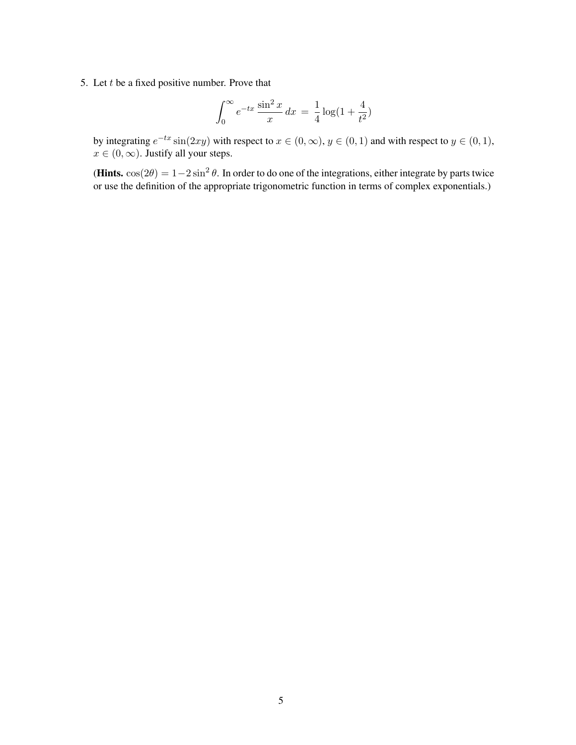5. Let  $t$  be a fixed positive number. Prove that

$$
\int_0^\infty e^{-tx} \frac{\sin^2 x}{x} dx = \frac{1}{4} \log(1 + \frac{4}{t^2})
$$

by integrating  $e^{-tx}\sin(2xy)$  with respect to  $x \in (0, \infty)$ ,  $y \in (0, 1)$  and with respect to  $y \in (0, 1)$ ,  $x \in (0, \infty)$ . Justify all your steps.

(Hints. cos( $2\theta$ ) = 1 –  $2\sin^2\theta$ . In order to do one of the integrations, either integrate by parts twice or use the definition of the appropriate trigonometric function in terms of complex exponentials.)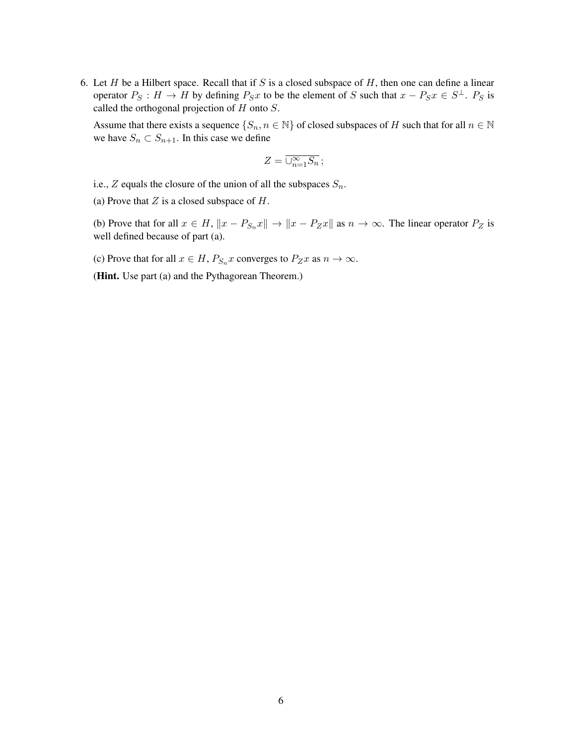6. Let H be a Hilbert space. Recall that if S is a closed subspace of H, then one can define a linear operator  $P_S: H \to H$  by defining  $P_S x$  to be the element of S such that  $x - P_S x \in S^{\perp}$ .  $P_S$  is called the orthogonal projection of  $H$  onto  $S$ .

Assume that there exists a sequence  $\{S_n, n \in \mathbb{N}\}\$  of closed subspaces of H such that for all  $n \in \mathbb{N}\$ we have  $S_n \subset S_{n+1}$ . In this case we define

$$
Z=\overline{\cup_{n=1}^{\infty}S_n}\,;
$$

i.e.,  $Z$  equals the closure of the union of all the subspaces  $S_n$ .

(a) Prove that  $Z$  is a closed subspace of  $H$ .

(b) Prove that for all  $x \in H$ ,  $||x - P_{S_n}x|| \to ||x - P_Zx||$  as  $n \to \infty$ . The linear operator  $P_Z$  is well defined because of part (a).

(c) Prove that for all  $x \in H$ ,  $P_{S_n} x$  converges to  $P_Z x$  as  $n \to \infty$ .

(**Hint.** Use part (a) and the Pythagorean Theorem.)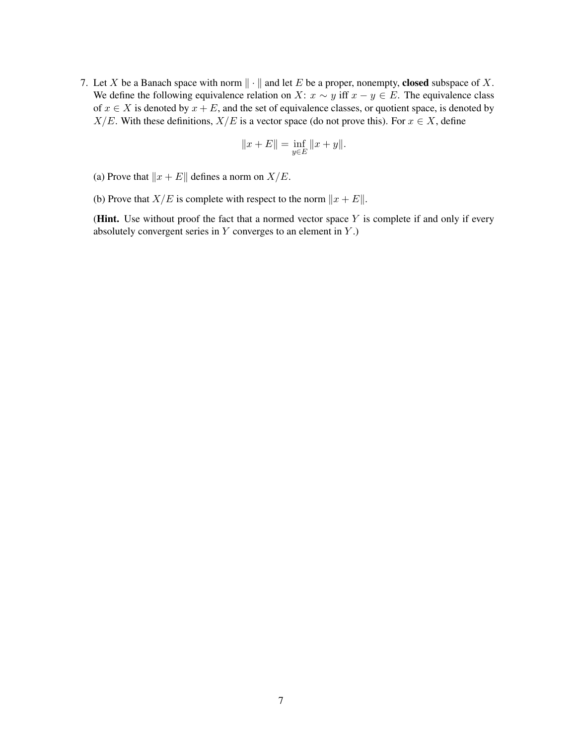7. Let X be a Banach space with norm  $\|\cdot\|$  and let E be a proper, nonempty, closed subspace of X. We define the following equivalence relation on X:  $x \sim y$  iff  $x - y \in E$ . The equivalence class of  $x \in X$  is denoted by  $x + E$ , and the set of equivalence classes, or quotient space, is denoted by  $X/E$ . With these definitions,  $X/E$  is a vector space (do not prove this). For  $x \in X$ , define

$$
||x + E|| = \inf_{y \in E} ||x + y||.
$$

- (a) Prove that  $||x + E||$  defines a norm on  $X/E$ .
- (b) Prove that  $X/E$  is complete with respect to the norm  $||x + E||$ .

(Hint. Use without proof the fact that a normed vector space  $Y$  is complete if and only if every absolutely convergent series in  $Y$  converges to an element in  $Y$ .)